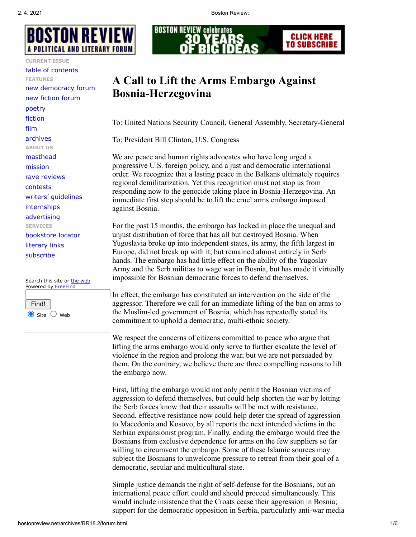

**CURRENT ISSUE**

[table of contents](http://bostonreview.net/archives/current.html) **FEATURES** [new democracy forum](http://bostonreview.net/ndf.html) [new fiction forum](http://bostonreview.net/nff.html) [poetry](http://bostonreview.net/poetry.html) [fiction](http://bostonreview.net/fiction.html) [film](http://bostonreview.net/onfilm.html) [archives](http://bostonreview.net/archives.html) **ABOUT US** [masthead](http://bostonreview.net/masthead.html) [mission](http://bostonreview.net/archives/aboutBR.html) [rave reviews](http://bostonreview.net/reviews.html) [contests](http://bostonreview.net/contests.html) [writers' guidelines](http://bostonreview.net/writerguidelines.html) [internships](http://bostonreview.net/intern.html) [advertising](http://bostonreview.net/advertise.html) **SERVICES** [bookstore locator](http://bostonreview.net/bookstores.html) [literary links](http://bostonreview.net/litlinks.html) [subscribe](http://bostonreview.net/subscribe.html)

Search this site or [the web](http://search.freefind.com/find.html?id=10109591&t=w) Powered by [FreeFind](http://www.freefind.com/)

Find!  $\bullet$  Site  $\circlearrowright$  Web



# **A Call to Lift the Arms Embargo Against Bosnia-Herzegovina**

To: United Nations Security Council, General Assembly, Secretary-General

To: President Bill Clinton, U.S. Congress

We are peace and human rights advocates who have long urged a progressive U.S. foreign policy, and a just and democratic international order. We recognize that a lasting peace in the Balkans ultimately requires regional demilitarization. Yet this recognition must not stop us from responding now to the genocide taking place in Bosnia-Herzegovina. An immediate first step should be to lift the cruel arms embargo imposed against Bosnia.

For the past 15 months, the embargo has locked in place the unequal and unjust distribution of force that has all but destroyed Bosnia. When Yugoslavia broke up into independent states, its army, the fifth largest in Europe, did not break up with it, but remained almost entirely in Serb hands. The embargo has had little effect on the ability of the Yugoslav Army and the Serb militias to wage war in Bosnia, but has made it virtually impossible for Bosnian democratic forces to defend themselves.

In effect, the embargo has constituted an intervention on the side of the aggressor. Therefore we call for an immediate lifting of the ban on arms to the Muslim-led government of Bosnia, which has repeatedly stated its commitment to uphold a democratic, multi-ethnic society.

We respect the concerns of citizens committed to peace who argue that lifting the arms embargo would only serve to further escalate the level of violence in the region and prolong the war, but we are not persuaded by them. On the contrary, we believe there are three compelling reasons to lift the embargo now.

First, lifting the embargo would not only permit the Bosnian victims of aggression to defend themselves, but could help shorten the war by letting the Serb forces know that their assaults will be met with resistance. Second, effective resistance now could help deter the spread of aggression to Macedonia and Kosovo, by all reports the next intended victims in the Serbian expansionist program. Finally, ending the embargo would free the Bosnians from exclusive dependence for arms on the few suppliers so far willing to circumvent the embargo. Some of these Islamic sources may subject the Bosnians to unwelcome pressure to retreat from their goal of a democratic, secular and multicultural state.

Simple justice demands the right of self-defense for the Bosnians, but an international peace effort could and should proceed simultaneously. This would include insistence that the Croats cease their aggression in Bosnia; support for the democratic opposition in Serbia, particularly anti-war media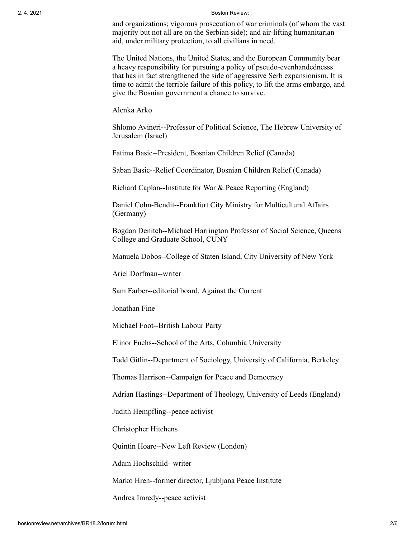and organizations; vigorous prosecution of war criminals (of whom the vast majority but not all are on the Serbian side); and air-lifting humanitarian aid, under military protection, to all civilians in need.

The United Nations, the United States, and the European Community bear a heavy responsibility for pursuing a policy of pseudo-evenhandednesss that has in fact strengthened the side of aggressive Serb expansionism. It is time to admit the terrible failure of this policy, to lift the arms embargo, and give the Bosnian government a chance to survive.

Alenka Arko

Shlomo Avineri--Professor of Political Science, The Hebrew University of Jerusalem (Israel)

Fatima Basic--President, Bosnian Children Relief (Canada)

Saban Basic--Relief Coordinator, Bosnian Children Relief (Canada)

Richard Caplan--Institute for War & Peace Reporting (England)

Daniel Cohn-Bendit--Frankfurt City Ministry for Multicultural Affairs (Germany)

Bogdan Denitch--Michael Harrington Professor of Social Science, Queens College and Graduate School, CUNY

Manuela Dobos--College of Staten Island, City University of New York

Ariel Dorfman--writer

Sam Farber--editorial board, Against the Current

Jonathan Fine

Michael Foot--British Labour Party

Elinor Fuchs--School of the Arts, Columbia University

Todd Gitlin--Department of Sociology, University of California, Berkeley

Thomas Harrison--Campaign for Peace and Democracy

Adrian Hastings--Department of Theology, University of Leeds (England)

Judith Hempfling--peace activist

Christopher Hitchens

Quintin Hoare--New Left Review (London)

Adam Hochschild--writer

Marko Hren--former director, Ljubljana Peace Institute

Andrea Imredy--peace activist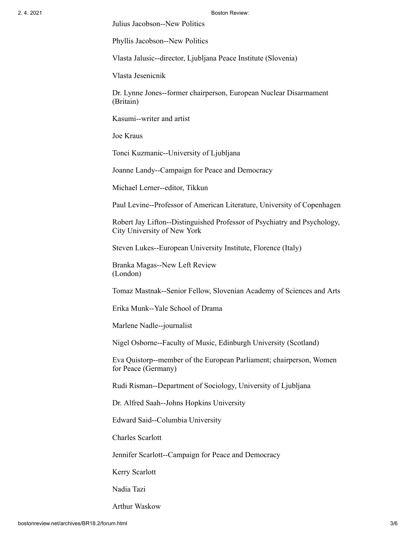Julius Jacobson--New Politics

Phyllis Jacobson--New Politics

Vlasta Jalusic--director, Ljubljana Peace Institute (Slovenia)

Vlasta Jesenicnik

Dr. Lynne Jones--former chairperson, European Nuclear Disarmament (Britain)

Kasumi--writer and artist

Joe Kraus

Tonci Kuzmanic--University of Ljubljana

Joanne Landy--Campaign for Peace and Democracy

Michael Lerner--editor, Tikkun

Paul Levine--Professor of American Literature, University of Copenhagen

Robert Jay Lifton--Distinguished Professor of Psychiatry and Psychology, City University of New York

Steven Lukes--European University Institute, Florence (Italy)

Branka Magas--New Left Review (London)

Tomaz Mastnak--Senior Fellow, Slovenian Academy of Sciences and Arts

Erika Munk--Yale School of Drama

Marlene Nadle--journalist

Nigel Osborne--Faculty of Music, Edinburgh University (Scotland)

Eva Quistorp--member of the European Parliament; chairperson, Women for Peace (Germany)

Rudi Risman--Department of Sociology, University of Ljubljana

Dr. Alfred Saah--Johns Hopkins University

Edward Said--Columbia University

Charles Scarlott

Jennifer Scarlott--Campaign for Peace and Democracy

Kerry Scarlott

Nadia Tazi

Arthur Waskow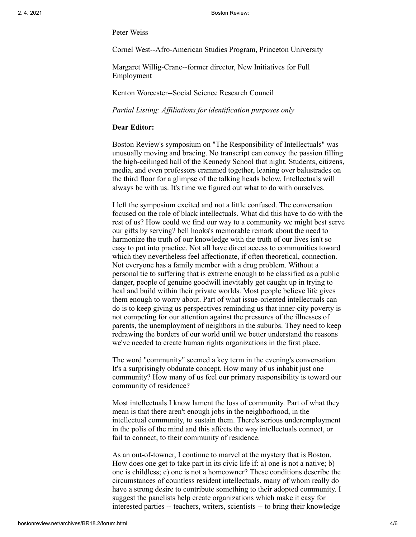Peter Weiss

Cornel West--Afro-American Studies Program, Princeton University

Margaret Willig-Crane--former director, New Initiatives for Full Employment

Kenton Worcester--Social Science Research Council

*Partial Listing: Affiliations for identification purposes only*

# **Dear Editor:**

Boston Review's symposium on "The Responsibility of Intellectuals" was unusually moving and bracing. No transcript can convey the passion filling the high-ceilinged hall of the Kennedy School that night. Students, citizens, media, and even professors crammed together, leaning over balustrades on the third floor for a glimpse of the talking heads below. Intellectuals will always be with us. It's time we figured out what to do with ourselves.

I left the symposium excited and not a little confused. The conversation focused on the role of black intellectuals. What did this have to do with the rest of us? How could we find our way to a community we might best serve our gifts by serving? bell hooks's memorable remark about the need to harmonize the truth of our knowledge with the truth of our lives isn't so easy to put into practice. Not all have direct access to communities toward which they nevertheless feel affectionate, if often theoretical, connection. Not everyone has a family member with a drug problem. Without a personal tie to suffering that is extreme enough to be classified as a public danger, people of genuine goodwill inevitably get caught up in trying to heal and build within their private worlds. Most people believe life gives them enough to worry about. Part of what issue-oriented intellectuals can do is to keep giving us perspectives reminding us that inner-city poverty is not competing for our attention against the pressures of the illnesses of parents, the unemployment of neighbors in the suburbs. They need to keep redrawing the borders of our world until we better understand the reasons we've needed to create human rights organizations in the first place.

The word "community" seemed a key term in the evening's conversation. It's a surprisingly obdurate concept. How many of us inhabit just one community? How many of us feel our primary responsibility is toward our community of residence?

Most intellectuals I know lament the loss of community. Part of what they mean is that there aren't enough jobs in the neighborhood, in the intellectual community, to sustain them. There's serious underemployment in the polis of the mind and this affects the way intellectuals connect, or fail to connect, to their community of residence.

As an out-of-towner, I continue to marvel at the mystery that is Boston. How does one get to take part in its civic life if: a) one is not a native; b) one is childless; c) one is not a homeowner? These conditions describe the circumstances of countless resident intellectuals, many of whom really do have a strong desire to contribute something to their adopted community. I suggest the panelists help create organizations which make it easy for interested parties -- teachers, writers, scientists -- to bring their knowledge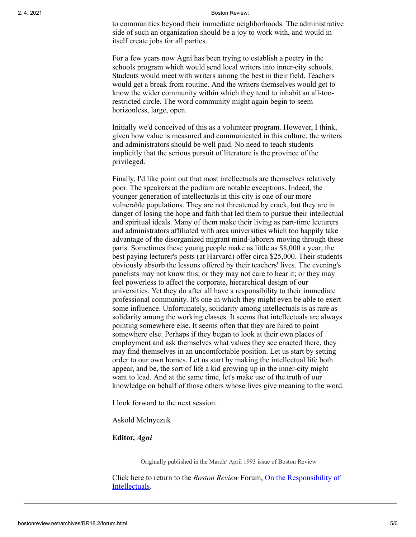to communities beyond their immediate neighborhoods. The administrative side of such an organization should be a joy to work with, and would in itself create jobs for all parties.

For a few years now Agni has been trying to establish a poetry in the schools program which would send local writers into inner-city schools. Students would meet with writers among the best in their field. Teachers would get a break from routine. And the writers themselves would get to know the wider community within which they tend to inhabit an all-toorestricted circle. The word community might again begin to seem horizonless, large, open.

Initially we'd conceived of this as a volunteer program. However, I think, given how value is measured and communicated in this culture, the writers and administrators should be well paid. No need to teach students implicitly that the serious pursuit of literature is the province of the privileged.

Finally, I'd like point out that most intellectuals are themselves relatively poor. The speakers at the podium are notable exceptions. Indeed, the younger generation of intellectuals in this city is one of our more vulnerable populations. They are not threatened by crack, but they are in danger of losing the hope and faith that led them to pursue their intellectual and spiritual ideals. Many of them make their living as part-time lecturers and administrators affiliated with area universities which too happily take advantage of the disorganized migrant mind-laborers moving through these parts. Sometimes these young people make as little as \$8,000 a year; the best paying lecturer's posts (at Harvard) offer circa \$25,000. Their students obviously absorb the lessons offered by their teachers' lives. The evening's panelists may not know this; or they may not care to hear it; or they may feel powerless to affect the corporate, hierarchical design of our universities. Yet they do after all have a responsibility to their immediate professional community. It's one in which they might even be able to exert some influence. Unfortunately, solidarity among intellectuals is as rare as solidarity among the working classes. It seems that intellectuals are always pointing somewhere else. It seems often that they are hired to point somewhere else. Perhaps if they began to look at their own places of employment and ask themselves what values they see enacted there, they may find themselves in an uncomfortable position. Let us start by setting order to our own homes. Let us start by making the intellectual life both appear, and be, the sort of life a kid growing up in the inner-city might want to lead. And at the same time, let's make use of the truth of our knowledge on behalf of those others whose lives give meaning to the word.

I look forward to the next session.

Askold Melnyczuk

## **Editor,** *Agni*

Originally published in the March/ April 1993 issue of Boston Review

Click here to return to the *Boston Review* [Forum, On the Responsibility of](http://bostonreview.net/archives/dreader/series/responsibility.html) Intellectuals.